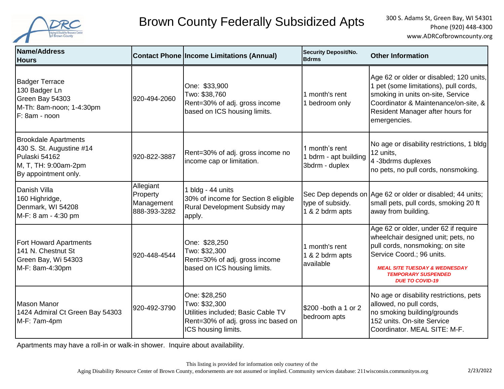

## Brown County Federally Subsidized Apts 300 S. Adams St, Green Bay, WI 54301

 Phone (920) 448-4300 www.ADRCofbrowncounty.org

| Name/Address<br><b>Hours</b>                                                                                             |                                                     | <b>Contact Phone Income Limitations (Annual)</b>                                                                                   | <b>Security Deposit/No.</b><br><b>Bdrms</b>               | <b>Other Information</b>                                                                                                                                                                                                                       |
|--------------------------------------------------------------------------------------------------------------------------|-----------------------------------------------------|------------------------------------------------------------------------------------------------------------------------------------|-----------------------------------------------------------|------------------------------------------------------------------------------------------------------------------------------------------------------------------------------------------------------------------------------------------------|
| <b>Badger Terrace</b><br>130 Badger Ln<br>Green Bay 54303<br>M-Th: 8am-noon; 1-4:30pm<br>F: 8am - noon                   | 920-494-2060                                        | One: \$33,900<br>Two: \$38,760<br>Rent=30% of adj. gross income<br>based on ICS housing limits.                                    | 1 month's rent<br>1 bedroom only                          | Age 62 or older or disabled; 120 units,<br>1 pet (some limitations), pull cords,<br>smoking in units on-site, Service<br>Coordinator & Maintenance/on-site, &<br>Resident Manager after hours for<br>emergencies.                              |
| <b>Brookdale Apartments</b><br>430 S. St. Augustine #14<br>Pulaski 54162<br>M, T, TH: 9:00am-2pm<br>By appointment only. | 920-822-3887                                        | Rent=30% of adj. gross income no<br>income cap or limitation.                                                                      | 1 month's rent<br>1 bdrm - apt building<br>3bdrm - duplex | No age or disability restrictions, 1 bldg<br>12 units,<br>4 -3bdrms duplexes<br>no pets, no pull cords, nonsmoking.                                                                                                                            |
| Danish Villa<br>160 Highridge,<br>Denmark, WI 54208<br>M-F: 8 am - 4:30 pm                                               | Allegiant<br>Property<br>Management<br>888-393-3282 | 1 bldg - 44 units<br>30% of income for Section 8 eligible<br>Rural Development Subsidy may<br>apply.                               | type of subsidy.<br>1 & 2 bdrm apts                       | Sec Dep depends on Age 62 or older or disabled; 44 units;<br>small pets, pull cords, smoking 20 ft<br>away from building.                                                                                                                      |
| <b>Fort Howard Apartments</b><br>141 N. Chestnut St<br>Green Bay, Wi 54303<br>M-F: 8am-4:30pm                            | 920-448-4544                                        | One: \$28,250<br>Two: \$32,300<br>Rent=30% of adj. gross income<br>based on ICS housing limits.                                    | 1 month's rent<br>1 & 2 bdrm apts<br>available            | Age 62 or older, under 62 if require<br>wheelchair designed unit; pets, no<br>pull cords, nonsmoking; on site<br>Service Coord.; 96 units.<br><b>MEAL SITE TUESDAY &amp; WEDNESDAY</b><br><b>TEMPORARY SUSPENDED</b><br><b>DUE TO COVID-19</b> |
| <b>Mason Manor</b><br>1424 Admiral Ct Green Bay 54303<br>M-F: 7am-4pm                                                    | 920-492-3790                                        | One: \$28,250<br>Two: \$32,300<br>Utilities included; Basic Cable TV<br>Rent=30% of adj. gross inc based on<br>ICS housing limits. | \$200 -both a 1 or 2<br>bedroom apts                      | No age or disability restrictions, pets<br>allowed, no pull cords,<br>no smoking building/grounds<br>152 units. On-site Service<br>Coordinator. MEAL SITE: M-F.                                                                                |

Apartments may have a roll-in or walk-in shower. Inquire about availability.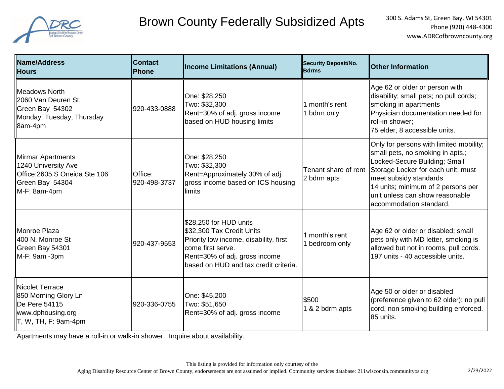

## Brown County Federally Subsidized Apts 300 S. Adams St, Green Bay, WI 54301

| <b>Name/Address</b><br><b>IHours</b>                                                                                                         | <b>Contact</b><br><b>Phone</b> | <b>Income Limitations (Annual)</b>                                                                                                                                                           | <b>Security Deposit/No.</b><br><b>Bdrms</b> | <b>Other Information</b>                                                                                                                                                                                                                                                         |
|----------------------------------------------------------------------------------------------------------------------------------------------|--------------------------------|----------------------------------------------------------------------------------------------------------------------------------------------------------------------------------------------|---------------------------------------------|----------------------------------------------------------------------------------------------------------------------------------------------------------------------------------------------------------------------------------------------------------------------------------|
| <b>IMeadows North</b><br>2060 Van Deuren St.<br>Green Bay 54302<br>Monday, Tuesday, Thursday<br>8am-4pm                                      | 920-433-0888                   | One: \$28,250<br>Two: \$32,300<br>Rent=30% of adj. gross income<br>based on HUD housing limits                                                                                               | 1 month's rent<br>1 bdrm only               | Age 62 or older or person with<br>disability; small pets; no pull cords;<br>smoking in apartments<br>Physician documentation needed for<br>roll-in shower;<br>75 elder, 8 accessible units.                                                                                      |
| <b>Mirmar Apartments</b><br>1240 University Ave<br>Office: 2605 S Oneida Ste 106<br>Green Bay 54304<br>M-F: 8am-4pm                          | Office:<br>920-498-3737        | One: \$28,250<br>Two: \$32,300<br>Rent=Approximately 30% of adj.<br>gross income based on ICS housing<br>limits                                                                              | Tenant share of rent<br>2 bdrm apts         | Only for persons with limited mobility;<br>small pets, no smoking in apts.;<br>Locked-Secure Building; Small<br>Storage Locker for each unit; must<br>meet subsidy standards<br>14 units; minimum of 2 persons per<br>unit unless can show reasonable<br>accommodation standard. |
| Monroe Plaza<br>400 N. Monroe St<br>Green Bay 54301<br>M-F: 9am -3pm                                                                         | 920-437-9553                   | \$28,250 for HUD units<br>\$32,300 Tax Credit Units<br>Priority low income, disability, first<br>come first serve.<br>Rent=30% of adj. gross income<br>based on HUD and tax credit criteria. | 1 month's rent<br>1 bedroom only            | Age 62 or older or disabled; small<br>pets only with MD letter, smoking is<br>allowed but not in rooms, pull cords.<br>197 units - 40 accessible units.                                                                                                                          |
| Nicolet Terrace<br>850 Morning Glory Ln<br>De Pere 54115<br>www.dphousing.org<br>$\mathsf{T}, \mathsf{W}, \mathsf{TH}, \mathsf{F}$ : 9am-4pm | 920-336-0755                   | One: \$45,200<br>Two: \$51,650<br>Rent=30% of adj. gross income                                                                                                                              | \$500<br>1 & 2 bdrm apts                    | Age 50 or older or disabled<br>(preference given to 62 older); no pull<br>cord, non smoking building enforced.<br>85 units.                                                                                                                                                      |

Apartments may have a roll-in or walk-in shower. Inquire about availability.